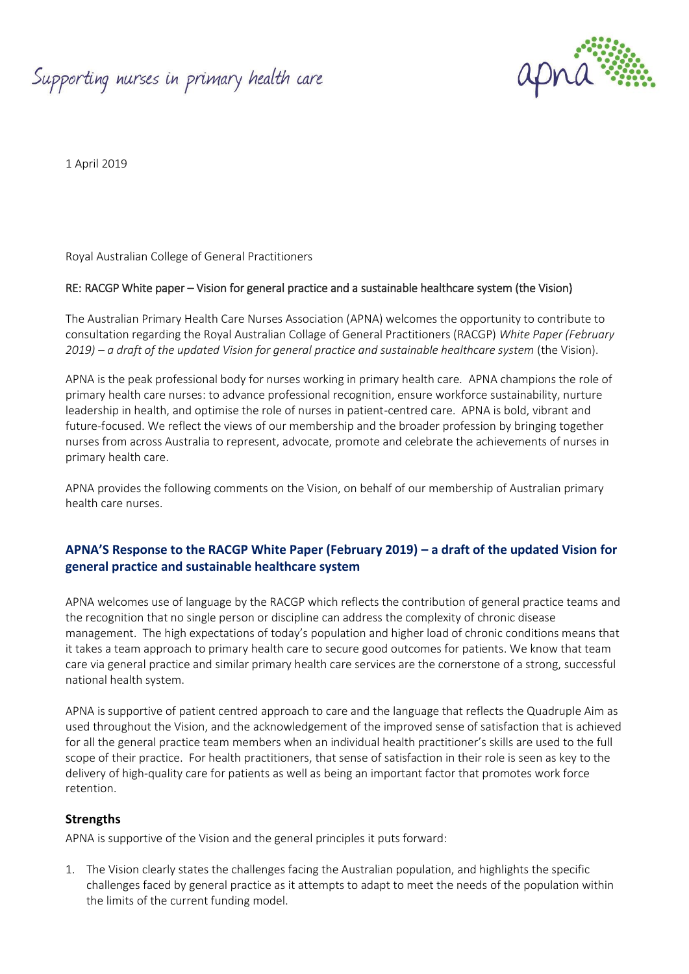Supporting nurses in primary health care



1 April 2019

Royal Australian College of General Practitioners

#### RE: RACGP White paper – Vision for general practice and a sustainable healthcare system (the Vision)

The Australian Primary Health Care Nurses Association (APNA) welcomes the opportunity to contribute to consultation regarding the Royal Australian Collage of General Practitioners (RACGP) *White Paper (February 2019) – a draft of the updated Vision for general practice and sustainable healthcare system* (the Vision).

APNA is the peak professional body for nurses working in primary health care. APNA champions the role of primary health care nurses: to advance professional recognition, ensure workforce sustainability, nurture leadership in health, and optimise the role of nurses in patient-centred care. APNA is bold, vibrant and future-focused. We reflect the views of our membership and the broader profession by bringing together nurses from across Australia to represent, advocate, promote and celebrate the achievements of nurses in primary health care.

APNA provides the following comments on the Vision, on behalf of our membership of Australian primary health care nurses.

## **APNA'S Response to the RACGP White Paper (February 2019) – a draft of the updated Vision for general practice and sustainable healthcare system**

APNA welcomes use of language by the RACGP which reflects the contribution of general practice teams and the recognition that no single person or discipline can address the complexity of chronic disease management. The high expectations of today's population and higher load of chronic conditions means that it takes a team approach to primary health care to secure good outcomes for patients. We know that team care via general practice and similar primary health care services are the cornerstone of a strong, successful national health system.

APNA is supportive of patient centred approach to care and the language that reflects the Quadruple Aim as used throughout the Vision, and the acknowledgement of the improved sense of satisfaction that is achieved for all the general practice team members when an individual health practitioner's skills are used to the full scope of their practice. For health practitioners, that sense of satisfaction in their role is seen as key to the delivery of high-quality care for patients as well as being an important factor that promotes work force retention.

## **Strengths**

APNA is supportive of the Vision and the general principles it puts forward:

1. The Vision clearly states the challenges facing the Australian population, and highlights the specific challenges faced by general practice as it attempts to adapt to meet the needs of the population within the limits of the current funding model.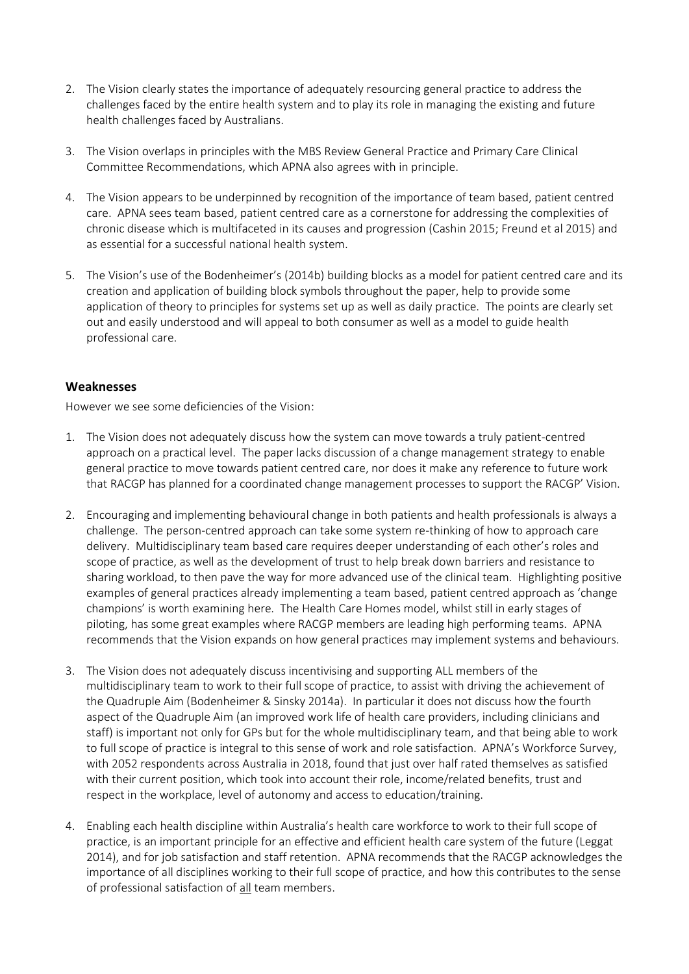- 2. The Vision clearly states the importance of adequately resourcing general practice to address the challenges faced by the entire health system and to play its role in managing the existing and future health challenges faced by Australians.
- 3. The Vision overlaps in principles with the MBS Review General Practice and Primary Care Clinical Committee Recommendations, which APNA also agrees with in principle.
- 4. The Vision appears to be underpinned by recognition of the importance of team based, patient centred care. APNA sees team based, patient centred care as a cornerstone for addressing the complexities of chronic disease which is multifaceted in its causes and progression (Cashin 2015; Freund et al 2015) and as essential for a successful national health system.
- 5. The Vision's use of the Bodenheimer's (2014b) building blocks as a model for patient centred care and its creation and application of building block symbols throughout the paper, help to provide some application of theory to principles for systems set up as well as daily practice. The points are clearly set out and easily understood and will appeal to both consumer as well as a model to guide health professional care.

## **Weaknesses**

However we see some deficiencies of the Vision:

- 1. The Vision does not adequately discuss how the system can move towards a truly patient-centred approach on a practical level. The paper lacks discussion of a change management strategy to enable general practice to move towards patient centred care, nor does it make any reference to future work that RACGP has planned for a coordinated change management processes to support the RACGP' Vision.
- 2. Encouraging and implementing behavioural change in both patients and health professionals is always a challenge. The person-centred approach can take some system re-thinking of how to approach care delivery. Multidisciplinary team based care requires deeper understanding of each other's roles and scope of practice, as well as the development of trust to help break down barriers and resistance to sharing workload, to then pave the way for more advanced use of the clinical team. Highlighting positive examples of general practices already implementing a team based, patient centred approach as 'change champions' is worth examining here. The Health Care Homes model, whilst still in early stages of piloting, has some great examples where RACGP members are leading high performing teams. APNA recommends that the Vision expands on how general practices may implement systems and behaviours.
- 3. The Vision does not adequately discuss incentivising and supporting ALL members of the multidisciplinary team to work to their full scope of practice, to assist with driving the achievement of the Quadruple Aim (Bodenheimer & Sinsky 2014a). In particular it does not discuss how the fourth aspect of the Quadruple Aim (an improved work life of health care providers, including clinicians and staff) is important not only for GPs but for the whole multidisciplinary team, and that being able to work to full scope of practice is integral to this sense of work and role satisfaction. APNA's Workforce Survey, with 2052 respondents across Australia in 2018, found that just over half rated themselves as satisfied with their current position, which took into account their role, income/related benefits, trust and respect in the workplace, level of autonomy and access to education/training.
- 4. Enabling each health discipline within Australia's health care workforce to work to their full scope of practice, is an important principle for an effective and efficient health care system of the future (Leggat 2014), and for job satisfaction and staff retention. APNA recommends that the RACGP acknowledges the importance of all disciplines working to their full scope of practice, and how this contributes to the sense of professional satisfaction of all team members.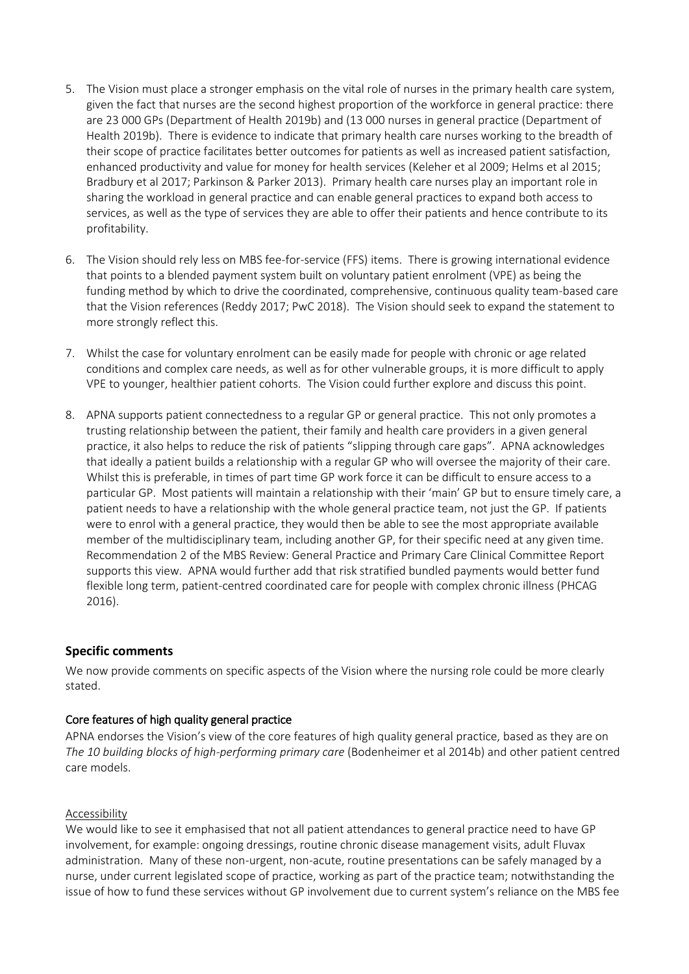- 5. The Vision must place a stronger emphasis on the vital role of nurses in the primary health care system, given the fact that nurses are the second highest proportion of the workforce in general practice: there are 23 000 GPs (Department of Health 2019b) and (13 000 nurses in general practice (Department of Health 2019b). There is evidence to indicate that primary health care nurses working to the breadth of their scope of practice facilitates better outcomes for patients as well as increased patient satisfaction, enhanced productivity and value for money for health services (Keleher et al 2009; Helms et al 2015; Bradbury et al 2017; Parkinson & Parker 2013). Primary health care nurses play an important role in sharing the workload in general practice and can enable general practices to expand both access to services, as well as the type of services they are able to offer their patients and hence contribute to its profitability.
- 6. The Vision should rely less on MBS fee-for-service (FFS) items. There is growing international evidence that points to a blended payment system built on voluntary patient enrolment (VPE) as being the funding method by which to drive the coordinated, comprehensive, continuous quality team-based care that the Vision references (Reddy 2017; PwC 2018). The Vision should seek to expand the statement to more strongly reflect this.
- 7. Whilst the case for voluntary enrolment can be easily made for people with chronic or age related conditions and complex care needs, as well as for other vulnerable groups, it is more difficult to apply VPE to younger, healthier patient cohorts. The Vision could further explore and discuss this point.
- 8. APNA supports patient connectedness to a regular GP or general practice. This not only promotes a trusting relationship between the patient, their family and health care providers in a given general practice, it also helps to reduce the risk of patients "slipping through care gaps". APNA acknowledges that ideally a patient builds a relationship with a regular GP who will oversee the majority of their care. Whilst this is preferable, in times of part time GP work force it can be difficult to ensure access to a particular GP. Most patients will maintain a relationship with their 'main' GP but to ensure timely care, a patient needs to have a relationship with the whole general practice team, not just the GP. If patients were to enrol with a general practice, they would then be able to see the most appropriate available member of the multidisciplinary team, including another GP, for their specific need at any given time. Recommendation 2 of the MBS Review: General Practice and Primary Care Clinical Committee Report supports this view. APNA would further add that risk stratified bundled payments would better fund flexible long term, patient-centred coordinated care for people with complex chronic illness (PHCAG 2016).

## **Specific comments**

We now provide comments on specific aspects of the Vision where the nursing role could be more clearly stated.

#### Core features of high quality general practice

APNA endorses the Vision's view of the core features of high quality general practice, based as they are on *The 10 building blocks of high-performing primary care* (Bodenheimer et al 2014b) and other patient centred care models.

#### Accessibility

We would like to see it emphasised that not all patient attendances to general practice need to have GP involvement, for example: ongoing dressings, routine chronic disease management visits, adult Fluvax administration. Many of these non-urgent, non-acute, routine presentations can be safely managed by a nurse, under current legislated scope of practice, working as part of the practice team; notwithstanding the issue of how to fund these services without GP involvement due to current system's reliance on the MBS fee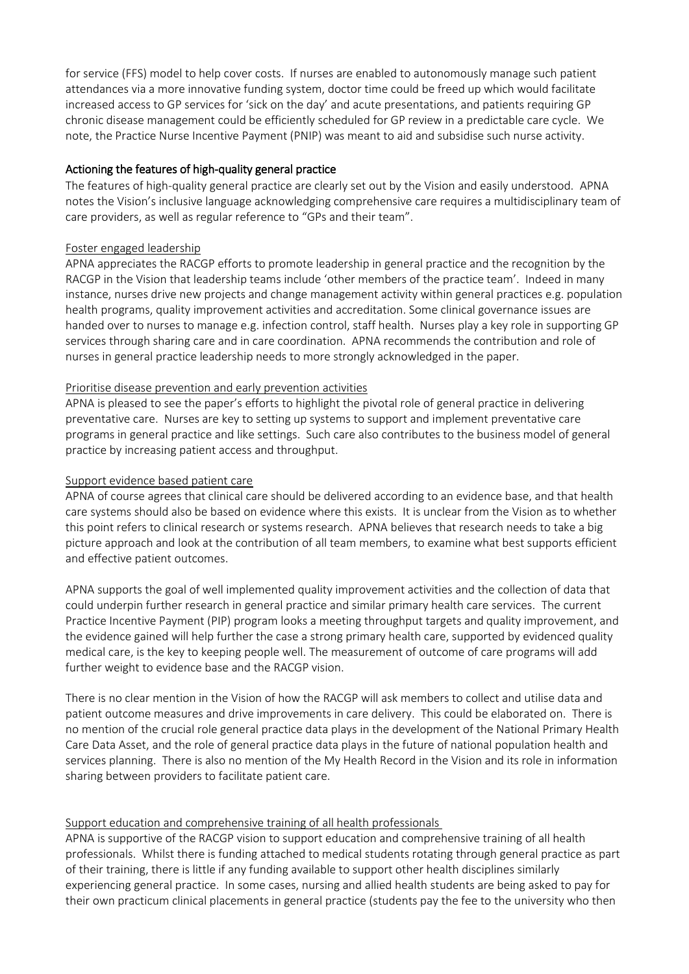for service (FFS) model to help cover costs. If nurses are enabled to autonomously manage such patient attendances via a more innovative funding system, doctor time could be freed up which would facilitate increased access to GP services for 'sick on the day' and acute presentations, and patients requiring GP chronic disease management could be efficiently scheduled for GP review in a predictable care cycle. We note, the Practice Nurse Incentive Payment (PNIP) was meant to aid and subsidise such nurse activity.

## Actioning the features of high-quality general practice

The features of high-quality general practice are clearly set out by the Vision and easily understood. APNA notes the Vision's inclusive language acknowledging comprehensive care requires a multidisciplinary team of care providers, as well as regular reference to "GPs and their team".

## Foster engaged leadership

APNA appreciates the RACGP efforts to promote leadership in general practice and the recognition by the RACGP in the Vision that leadership teams include 'other members of the practice team'. Indeed in many instance, nurses drive new projects and change management activity within general practices e.g. population health programs, quality improvement activities and accreditation. Some clinical governance issues are handed over to nurses to manage e.g. infection control, staff health. Nurses play a key role in supporting GP services through sharing care and in care coordination. APNA recommends the contribution and role of nurses in general practice leadership needs to more strongly acknowledged in the paper.

## Prioritise disease prevention and early prevention activities

APNA is pleased to see the paper's efforts to highlight the pivotal role of general practice in delivering preventative care. Nurses are key to setting up systems to support and implement preventative care programs in general practice and like settings. Such care also contributes to the business model of general practice by increasing patient access and throughput.

## Support evidence based patient care

APNA of course agrees that clinical care should be delivered according to an evidence base, and that health care systems should also be based on evidence where this exists. It is unclear from the Vision as to whether this point refers to clinical research or systems research. APNA believes that research needs to take a big picture approach and look at the contribution of all team members, to examine what best supports efficient and effective patient outcomes.

APNA supports the goal of well implemented quality improvement activities and the collection of data that could underpin further research in general practice and similar primary health care services. The current Practice Incentive Payment (PIP) program looks a meeting throughput targets and quality improvement, and the evidence gained will help further the case a strong primary health care, supported by evidenced quality medical care, is the key to keeping people well. The measurement of outcome of care programs will add further weight to evidence base and the RACGP vision.

There is no clear mention in the Vision of how the RACGP will ask members to collect and utilise data and patient outcome measures and drive improvements in care delivery. This could be elaborated on. There is no mention of the crucial role general practice data plays in the development of the National Primary Health Care Data Asset, and the role of general practice data plays in the future of national population health and services planning. There is also no mention of the My Health Record in the Vision and its role in information sharing between providers to facilitate patient care.

# Support education and comprehensive training of all health professionals

APNA is supportive of the RACGP vision to support education and comprehensive training of all health professionals. Whilst there is funding attached to medical students rotating through general practice as part of their training, there is little if any funding available to support other health disciplines similarly experiencing general practice. In some cases, nursing and allied health students are being asked to pay for their own practicum clinical placements in general practice (students pay the fee to the university who then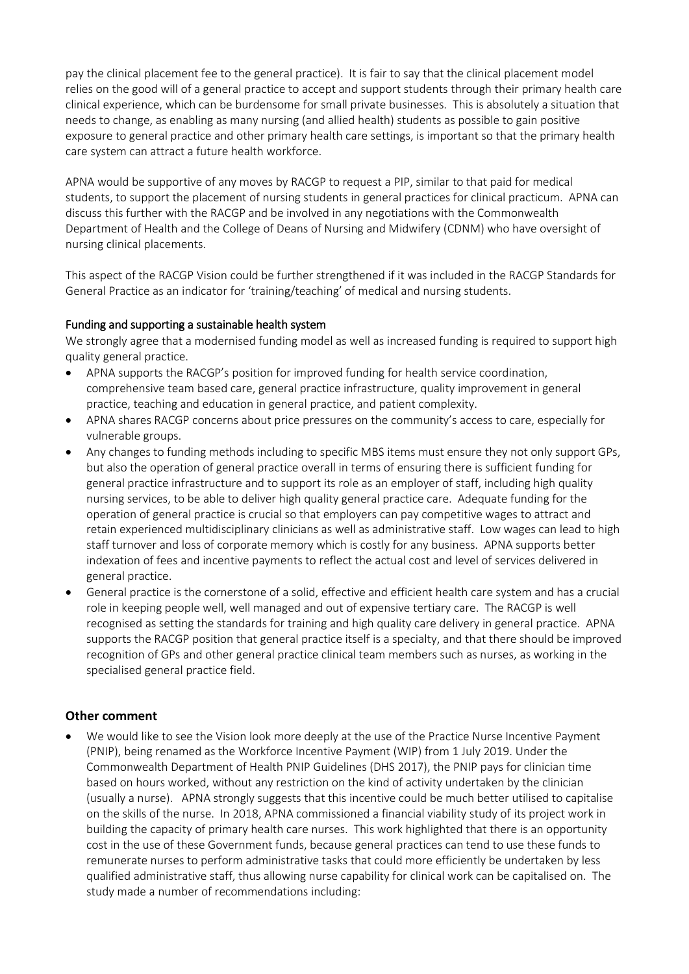pay the clinical placement fee to the general practice). It is fair to say that the clinical placement model relies on the good will of a general practice to accept and support students through their primary health care clinical experience, which can be burdensome for small private businesses. This is absolutely a situation that needs to change, as enabling as many nursing (and allied health) students as possible to gain positive exposure to general practice and other primary health care settings, is important so that the primary health care system can attract a future health workforce.

APNA would be supportive of any moves by RACGP to request a PIP, similar to that paid for medical students, to support the placement of nursing students in general practices for clinical practicum. APNA can discuss this further with the RACGP and be involved in any negotiations with the Commonwealth Department of Health and the College of Deans of Nursing and Midwifery (CDNM) who have oversight of nursing clinical placements.

This aspect of the RACGP Vision could be further strengthened if it was included in the RACGP Standards for General Practice as an indicator for 'training/teaching' of medical and nursing students.

## Funding and supporting a sustainable health system

We strongly agree that a modernised funding model as well as increased funding is required to support high quality general practice.

- APNA supports the RACGP's position for improved funding for health service coordination, comprehensive team based care, general practice infrastructure, quality improvement in general practice, teaching and education in general practice, and patient complexity.
- APNA shares RACGP concerns about price pressures on the community's access to care, especially for vulnerable groups.
- Any changes to funding methods including to specific MBS items must ensure they not only support GPs, but also the operation of general practice overall in terms of ensuring there is sufficient funding for general practice infrastructure and to support its role as an employer of staff, including high quality nursing services, to be able to deliver high quality general practice care. Adequate funding for the operation of general practice is crucial so that employers can pay competitive wages to attract and retain experienced multidisciplinary clinicians as well as administrative staff. Low wages can lead to high staff turnover and loss of corporate memory which is costly for any business. APNA supports better indexation of fees and incentive payments to reflect the actual cost and level of services delivered in general practice.
- General practice is the cornerstone of a solid, effective and efficient health care system and has a crucial role in keeping people well, well managed and out of expensive tertiary care. The RACGP is well recognised as setting the standards for training and high quality care delivery in general practice. APNA supports the RACGP position that general practice itself is a specialty, and that there should be improved recognition of GPs and other general practice clinical team members such as nurses, as working in the specialised general practice field.

## **Other comment**

 We would like to see the Vision look more deeply at the use of the Practice Nurse Incentive Payment (PNIP), being renamed as the Workforce Incentive Payment (WIP) from 1 July 2019. Under the Commonwealth Department of Health PNIP Guidelines (DHS 2017), the PNIP pays for clinician time based on hours worked, without any restriction on the kind of activity undertaken by the clinician (usually a nurse). APNA strongly suggests that this incentive could be much better utilised to capitalise on the skills of the nurse. In 2018, APNA commissioned a financial viability study of its project work in building the capacity of primary health care nurses. This work highlighted that there is an opportunity cost in the use of these Government funds, because general practices can tend to use these funds to remunerate nurses to perform administrative tasks that could more efficiently be undertaken by less qualified administrative staff, thus allowing nurse capability for clinical work can be capitalised on. The study made a number of recommendations including: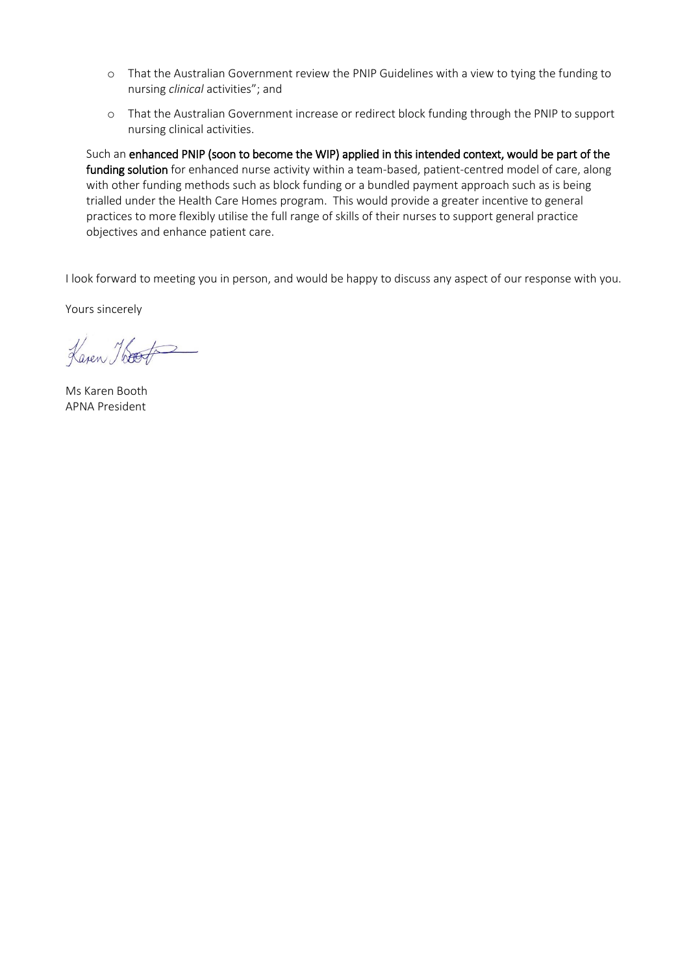- o That the Australian Government review the PNIP Guidelines with a view to tying the funding to nursing *clinical* activities"; and
- o That the Australian Government increase or redirect block funding through the PNIP to support nursing clinical activities.

Such an enhanced PNIP (soon to become the WIP) applied in this intended context, would be part of the funding solution for enhanced nurse activity within a team-based, patient-centred model of care, along with other funding methods such as block funding or a bundled payment approach such as is being trialled under the Health Care Homes program. This would provide a greater incentive to general practices to more flexibly utilise the full range of skills of their nurses to support general practice objectives and enhance patient care.

I look forward to meeting you in person, and would be happy to discuss any aspect of our response with you.

Yours sincerely

Kaven Hoot

Ms Karen Booth APNA President